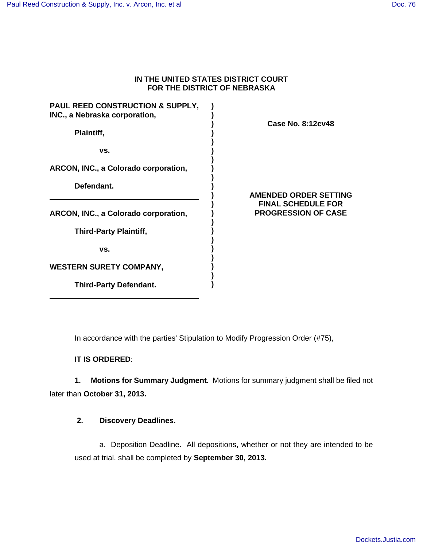### **IN THE UNITED STATES DISTRICT COURT FOR THE DISTRICT OF NEBRASKA**

| <b>PAUL REED CONSTRUCTION &amp; SUPPLY,</b><br>INC., a Nebraska corporation, |  |
|------------------------------------------------------------------------------|--|
| Plaintiff,                                                                   |  |
| VS.                                                                          |  |
| <b>ARCON, INC., a Colorado corporation,</b>                                  |  |
| Defendant.                                                                   |  |
| <b>ARCON, INC., a Colorado corporation,</b>                                  |  |
| <b>Third-Party Plaintiff,</b>                                                |  |
| VS.                                                                          |  |
| <b>WESTERN SURETY COMPANY,</b>                                               |  |
|                                                                              |  |

**Third-Party Defendant.**

## **Case No. 8:12cv48**

**AMENDED ORDER SETTING FINAL SCHEDULE FOR PROGRESSION OF CASE**

In accordance with the parties' Stipulation to Modify Progression Order (#75),

**)**

**IT IS ORDERED**:

**1. Motions for Summary Judgment.** Motions for summary judgment shall be filed not later than **October 31, 2013.**

# **2. Discovery Deadlines.**

a. Deposition Deadline. All depositions, whether or not they are intended to be used at trial, shall be completed by **September 30, 2013.**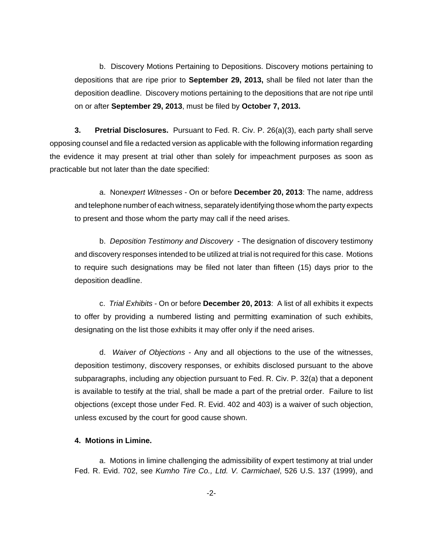b. Discovery Motions Pertaining to Depositions. Discovery motions pertaining to depositions that are ripe prior to **September 29, 2013,** shall be filed not later than the deposition deadline. Discovery motions pertaining to the depositions that are not ripe until on or after **September 29, 2013**, must be filed by **October 7, 2013.**

**3. Pretrial Disclosures.** Pursuant to Fed. R. Civ. P. 26(a)(3), each party shall serve opposing counsel and file a redacted version as applicable with the following information regarding the evidence it may present at trial other than solely for impeachment purposes as soon as practicable but not later than the date specified:

a. Nonexpert Witnesses - On or before **December 20, 2013**: The name, address and telephone number of each witness, separately identifying those whom the party expects to present and those whom the party may call if the need arises.

b. Deposition Testimony and Discovery - The designation of discovery testimony and discovery responses intended to be utilized at trial is not required for this case. Motions to require such designations may be filed not later than fifteen (15) days prior to the deposition deadline.

c. Trial Exhibits - On or before **December 20, 2013**: A list of all exhibits it expects to offer by providing a numbered listing and permitting examination of such exhibits, designating on the list those exhibits it may offer only if the need arises.

d. Waiver of Objections - Any and all objections to the use of the witnesses, deposition testimony, discovery responses, or exhibits disclosed pursuant to the above subparagraphs, including any objection pursuant to Fed. R. Civ. P. 32(a) that a deponent is available to testify at the trial, shall be made a part of the pretrial order. Failure to list objections (except those under Fed. R. Evid. 402 and 403) is a waiver of such objection, unless excused by the court for good cause shown.

### **4. Motions in Limine.**

a. Motions in limine challenging the admissibility of expert testimony at trial under Fed. R. Evid. 702, see Kumho Tire Co., Ltd. V. Carmichael, 526 U.S. 137 (1999), and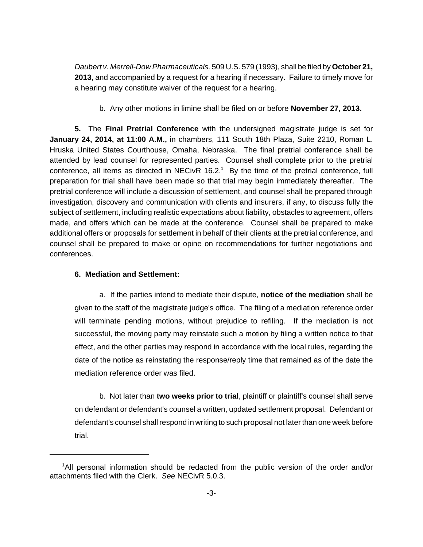Daubert v. Merrell-Dow Pharmaceuticals, 509 U.S. 579 (1993), shall be filed by **October 21, 2013**, and accompanied by a request for a hearing if necessary. Failure to timely move for a hearing may constitute waiver of the request for a hearing.

b. Any other motions in limine shall be filed on or before **November 27, 2013.**

**5.** The **Final Pretrial Conference** with the undersigned magistrate judge is set for **January 24, 2014, at 11:00 A.M.,** in chambers, 111 South 18th Plaza, Suite 2210, Roman L. Hruska United States Courthouse, Omaha, Nebraska. The final pretrial conference shall be attended by lead counsel for represented parties. Counsel shall complete prior to the pretrial conference, all items as directed in NECivR  $16.2<sup>1</sup>$  By the time of the pretrial conference, full preparation for trial shall have been made so that trial may begin immediately thereafter. The pretrial conference will include a discussion of settlement, and counsel shall be prepared through investigation, discovery and communication with clients and insurers, if any, to discuss fully the subject of settlement, including realistic expectations about liability, obstacles to agreement, offers made, and offers which can be made at the conference. Counsel shall be prepared to make additional offers or proposals for settlement in behalf of their clients at the pretrial conference, and counsel shall be prepared to make or opine on recommendations for further negotiations and conferences.

### **6. Mediation and Settlement:**

a. If the parties intend to mediate their dispute, **notice of the mediation** shall be given to the staff of the magistrate judge's office. The filing of a mediation reference order will terminate pending motions, without prejudice to refiling. If the mediation is not successful, the moving party may reinstate such a motion by filing a written notice to that effect, and the other parties may respond in accordance with the local rules, regarding the date of the notice as reinstating the response/reply time that remained as of the date the mediation reference order was filed.

b. Not later than **two weeks prior to trial**, plaintiff or plaintiff's counsel shall serve on defendant or defendant's counsel a written, updated settlement proposal. Defendant or defendant's counsel shall respond in writing to such proposal not later than one week before trial.

<sup>&</sup>lt;sup>1</sup>All personal information should be redacted from the public version of the order and/or attachments filed with the Clerk. See NECivR 5.0.3.